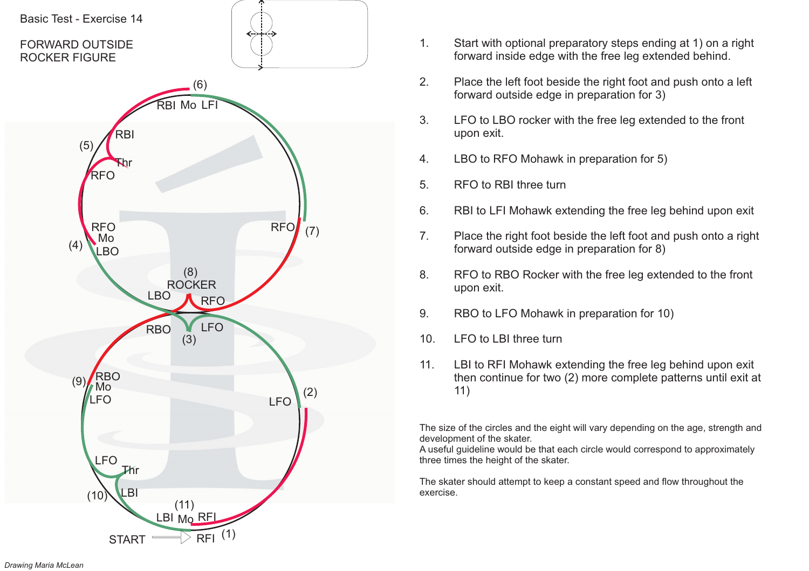

- 1. Start with optional preparatory steps ending at 1) on <sup>a</sup> right forward inside edge with the free leg extended behind.
- 2. Place the left foot beside the right foot and push onto <sup>a</sup> left forward outside edge in preparation for 3)
- 3. LFO to LBO rocker with the free leg extended to the front upon exit.
- 4. LBO to RFO Mohawk in preparation for 5)
- 5. RFO to RBI three turn
- 6. RBI to LFI Mohawk extending the free leg behind upon exit
- 7. Place the right foot beside the left foot and push onto <sup>a</sup> right forward outside edge in preparation for 8)
- 8. RFO to RBO Rocker with the free leg extended to the front upon exit.
- 9. RBO to LFO Mohawk in preparation for 10)
- 10. LFO to LBI three turn
- 11. LBI to RFI Mohawk extending the free leg behind upon exit then continue for two (2) more complete patterns until exit at 11)

A useful guideline would be that each circle would correspond to approximately three times the height of the skater.

The skater should attempt to keep <sup>a</sup> constant speed and flow throughout the exercise.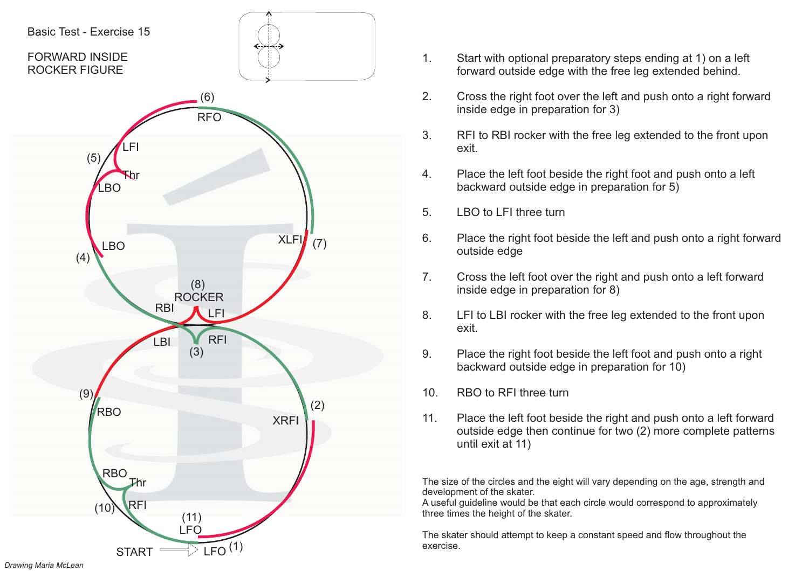

- 1. Start with optional preparatory steps ending at 1) on <sup>a</sup> left forward outside edge with the free leg extended behind.
- 2. Cross the right foot over the left and push onto <sup>a</sup> right forward inside edge in preparation for 3)
- 3. RFI to RBI rocker with the free leg extended to the front upon exit.
- 4. Place the left foot beside the right foot and push onto <sup>a</sup> left backward outside edge in preparation for 5)
- 5. LBO to LFI three turn
- 6. Place the right foot beside the left and push onto <sup>a</sup> right forward outside edge
- 7. Cross the left foot over the right and push onto <sup>a</sup> left forward inside edge in preparation for 8)
- 8. LFI to LBI rocker with the free leg extended to the front upon exit.
- 9. Place the right foot beside the left foot and push onto <sup>a</sup> right backward outside edge in preparation for 10)
- 10. RBO to RFI three turn
- 11. Place the left foot beside the right and push onto <sup>a</sup> left forward outside edge then continue for two (2) more complete patterns until exit at 11)

A useful guideline would be that each circle would correspond to approximately three times the height of the skater.

The skater should attempt to keep <sup>a</sup> constant speed and flow throughout the exercise.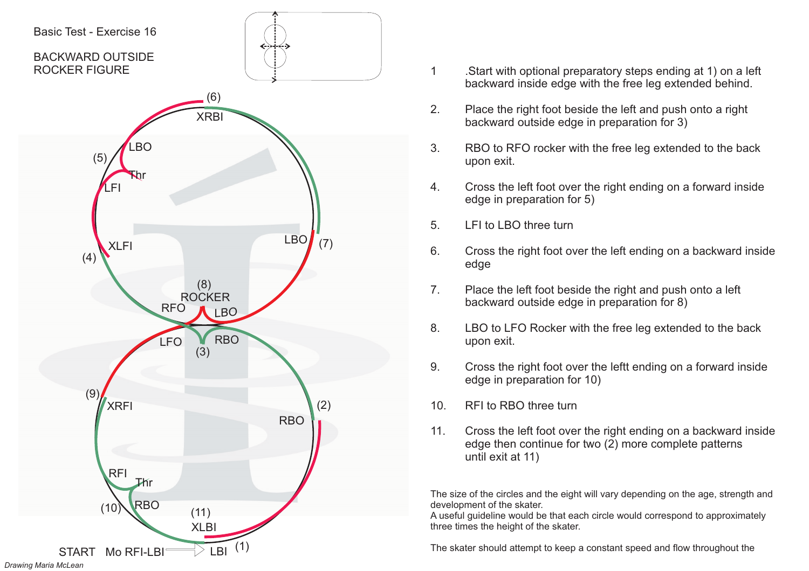

- 1 .Start with optional preparatory steps ending at 1) on <sup>a</sup> left backward inside edge with the free leg extended behind.
- 2. Place the right foot beside the left and push onto <sup>a</sup> right backward outside edge in preparation for 3)
- 3. RBO to RFO rocker with the free leg extended to the back upon exit.
- 4. Cross the left foot over the right ending on <sup>a</sup> forward inside edge in preparation for 5)
- 5. LFI to LBO three turn
- 6. Cross the right foot over the left ending on <sup>a</sup> backward inside edge
- 7. Place the left foot beside the right and push onto <sup>a</sup> left backward outside edge in preparation for 8)
- 8. LBO to LFO Rocker with the free leg extended to the back upon exit.
- 9. Cross the right foot over the leftt ending on <sup>a</sup> forward inside edge in preparation for 10)
- 10. RFI to RBO three turn
- 11. Cross the left foot over the right ending on <sup>a</sup> backward inside edge then continue for two (2) more complete patterns until exit at 11)

A useful guideline would be that each circle would correspond to approximately three times the height of the skater.

The skater should attempt to keep <sup>a</sup> constant speed and flow throughout the